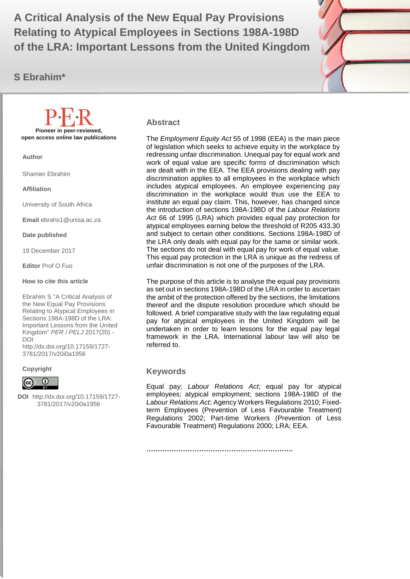**Relating to Atypical Employees in Sections 198A-198D A Critical Analysis of the New Equal Pay Provisions of the LRA: Important Lessons from the United Kingdom**

**S Ebrahim\***



#### **Abstract**

The *Employment Equity Act* 55 of 1998 (EEA) is the main piece of legislation which seeks to achieve equity in the workplace by redressing unfair discrimination. Unequal pay for equal work and work of equal value are specific forms of discrimination which are dealt with in the EEA. The EEA provisions dealing with pay discrimination applies to all employees in the workplace which includes atypical employees. An employee experiencing pay discrimination in the workplace would thus use the EEA to institute an equal pay claim. This, however, has changed since the introduction of sections 198A-198D of the *Labour Relations Act* 66 of 1995 (LRA) which provides equal pay protection for atypical employees earning below the threshold of R205 433.30 and subject to certain other conditions. Sections 198A-198D of the LRA only deals with equal pay for the same or similar work. The sections do not deal with equal pay for work of equal value. This equal pay protection in the LRA is unique as the redress of unfair discrimination is not one of the purposes of the LRA.

The purpose of this article is to analyse the equal pay provisions as set out in sections 198A-198D of the LRA in order to ascertain the ambit of the protection offered by the sections, the limitations thereof and the dispute resolution procedure which should be followed. A brief comparative study with the law regulating equal pay for atypical employees in the United Kingdom will be undertaken in order to learn lessons for the equal pay legal framework in the LRA. International labour law will also be referred to.

#### **Keywords**

Equal pay; *Labour Relations Act*; equal pay for atypical employees; atypical employment; sections 198A-198D of the *Labour Relations Act*; Agency Workers Regulations 2010; Fixedterm Employees (Prevention of Less Favourable Treatment) Regulations 2002; Part-time Workers (Prevention of Less Favourable Treatment) Regulations 2000; LRA; EEA.

**Pioneer in peer-reviewed, open access online law publications**

**Author**

Shamier Ebrahim

**Affiliation**

University of South Africa

**Email** ebrahs1@unisa.ac.za

**Date published**

19 December 2017

**Editor** Prof O Fuo

#### **How to cite this article**

Ebrahim S "A Critical Analysis of the New Equal Pay Provisions Relating to Atypical Employees in Sections 198A-198D of the LRA: Important Lessons from the United Kingdom" *PER / PELJ* 2017(20) - DOI

http://dx.doi.org/10.17159/1727- 3781/2017/v20i0a1956

#### **Copyright**



**DOI** http://dx.doi.org/10.17159/1727- 3781/2017/v20i0a1956

**……………………………………………………….**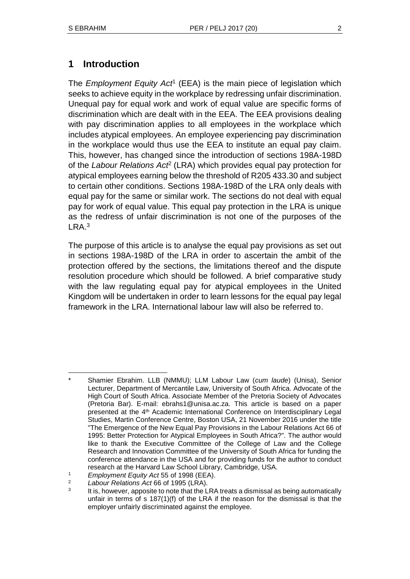# **1 Introduction**

The *Employment Equity Act*<sup>1</sup> (EEA) is the main piece of legislation which seeks to achieve equity in the workplace by redressing unfair discrimination. Unequal pay for equal work and work of equal value are specific forms of discrimination which are dealt with in the EEA. The EEA provisions dealing with pay discrimination applies to all employees in the workplace which includes atypical employees. An employee experiencing pay discrimination in the workplace would thus use the EEA to institute an equal pay claim. This, however, has changed since the introduction of sections 198A-198D of the *Labour Relations Act*<sup>2</sup> (LRA) which provides equal pay protection for atypical employees earning below the threshold of R205 433.30 and subject to certain other conditions. Sections 198A-198D of the LRA only deals with equal pay for the same or similar work. The sections do not deal with equal pay for work of equal value. This equal pay protection in the LRA is unique as the redress of unfair discrimination is not one of the purposes of the LRA.<sup>3</sup>

The purpose of this article is to analyse the equal pay provisions as set out in sections 198A-198D of the LRA in order to ascertain the ambit of the protection offered by the sections, the limitations thereof and the dispute resolution procedure which should be followed. A brief comparative study with the law regulating equal pay for atypical employees in the United Kingdom will be undertaken in order to learn lessons for the equal pay legal framework in the LRA. International labour law will also be referred to.

l \* Shamier Ebrahim. LLB (NMMU); LLM Labour Law (*cum laude*) (Unisa), Senior Lecturer, Department of Mercantile Law, University of South Africa. Advocate of the High Court of South Africa. Associate Member of the Pretoria Society of Advocates (Pretoria Bar). E-mail: ebrahs1@unisa.ac.za. This article is based on a paper presented at the 4<sup>th</sup> Academic International Conference on Interdisciplinary Legal Studies, Martin Conference Centre, Boston USA, 21 November 2016 under the title "The Emergence of the New Equal Pay Provisions in the Labour Relations Act 66 of 1995: Better Protection for Atypical Employees in South Africa?". The author would like to thank the Executive Committee of the College of Law and the College Research and Innovation Committee of the University of South Africa for funding the conference attendance in the USA and for providing funds for the author to conduct research at the Harvard Law School Library, Cambridge, USA.

<sup>1</sup> *Employment Equity Act* 55 of 1998 (EEA).

<sup>2</sup> *Labour Relations Act* 66 of 1995 (LRA).

<sup>3</sup> It is, however, apposite to note that the LRA treats a dismissal as being automatically unfair in terms of  $s$  187(1)(f) of the LRA if the reason for the dismissal is that the employer unfairly discriminated against the employee.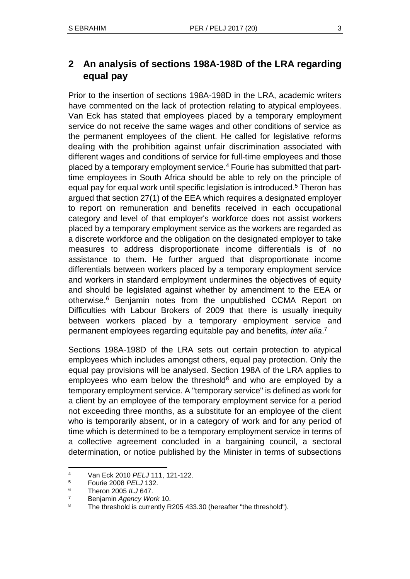Prior to the insertion of sections 198A-198D in the LRA, academic writers have commented on the lack of protection relating to atypical employees. Van Eck has stated that employees placed by a temporary employment service do not receive the same wages and other conditions of service as the permanent employees of the client. He called for legislative reforms dealing with the prohibition against unfair discrimination associated with different wages and conditions of service for full-time employees and those placed by a temporary employment service.<sup>4</sup> Fourie has submitted that parttime employees in South Africa should be able to rely on the principle of equal pay for equal work until specific legislation is introduced.<sup>5</sup> Theron has argued that section 27(1) of the EEA which requires a designated employer to report on remuneration and benefits received in each occupational category and level of that employer's workforce does not assist workers placed by a temporary employment service as the workers are regarded as a discrete workforce and the obligation on the designated employer to take measures to address disproportionate income differentials is of no assistance to them. He further argued that disproportionate income differentials between workers placed by a temporary employment service and workers in standard employment undermines the objectives of equity and should be legislated against whether by amendment to the EEA or otherwise.<sup>6</sup> Benjamin notes from the unpublished CCMA Report on Difficulties with Labour Brokers of 2009 that there is usually inequity between workers placed by a temporary employment service and permanent employees regarding equitable pay and benefits, *inter alia*. 7

Sections 198A-198D of the LRA sets out certain protection to atypical employees which includes amongst others, equal pay protection. Only the equal pay provisions will be analysed. Section 198A of the LRA applies to employees who earn below the threshold<sup>8</sup> and who are employed by a temporary employment service. A "temporary service" is defined as work for a client by an employee of the temporary employment service for a period not exceeding three months, as a substitute for an employee of the client who is temporarily absent, or in a category of work and for any period of time which is determined to be a temporary employment service in terms of a collective agreement concluded in a bargaining council, a sectoral determination, or notice published by the Minister in terms of subsections

l <sup>4</sup> Van Eck 2010 *PELJ* 111, 121-122.

<sup>5</sup> Fourie 2008 *PELJ* 132.

<sup>6</sup> Theron 2005 *ILJ* 647.

<sup>7</sup> Benjamin *Agency Work* 10.

<sup>&</sup>lt;sup>8</sup> The threshold is currently R205 433.30 (hereafter "the threshold").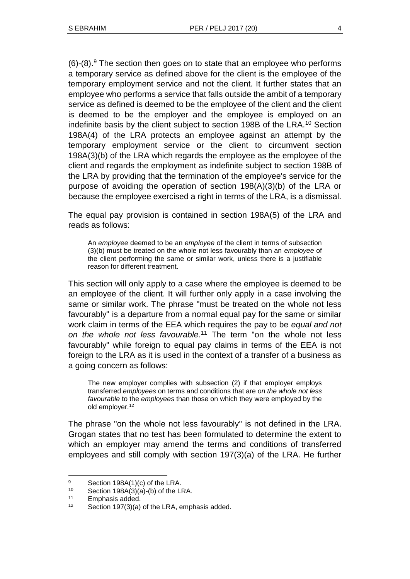$(6)$ - $(8)$ .<sup>9</sup> The section then goes on to state that an employee who performs a temporary service as defined above for the client is the employee of the temporary employment service and not the client. It further states that an employee who performs a service that falls outside the ambit of a temporary service as defined is deemed to be the employee of the client and the client is deemed to be the employer and the employee is employed on an indefinite basis by the client subject to section 198B of the LRA.<sup>10</sup> Section 198A(4) of the LRA protects an employee against an attempt by the temporary employment service or the client to circumvent section 198A(3)(b) of the LRA which regards the employee as the employee of the client and regards the employment as indefinite subject to section 198B of the LRA by providing that the termination of the employee's service for the purpose of avoiding the operation of section 198(A)(3)(b) of the LRA or because the employee exercised a right in terms of the LRA, is a dismissal.

The equal pay provision is contained in section 198A(5) of the LRA and reads as follows:

An *employee* deemed to be an *employee* of the client in terms of subsection (3)(b) must be treated on the whole not less favourably than an *employee* of the client performing the same or similar work, unless there is a justifiable reason for different treatment.

This section will only apply to a case where the employee is deemed to be an employee of the client. It will further only apply in a case involving the same or similar work. The phrase "must be treated on the whole not less favourably" is a departure from a normal equal pay for the same or similar work claim in terms of the EEA which requires the pay to be *equal and not on the whole not less favourable*. <sup>11</sup> The term "on the whole not less favourably" while foreign to equal pay claims in terms of the EEA is not foreign to the LRA as it is used in the context of a transfer of a business as a going concern as follows:

The new employer complies with subsection (2) if that employer employs transferred *employees* on terms and conditions that are *on the whole not less favourable* to the *employees* than those on which they were employed by the old employer.<sup>12</sup>

The phrase "on the whole not less favourably" is not defined in the LRA. Grogan states that no test has been formulated to determine the extent to which an employer may amend the terms and conditions of transferred employees and still comply with section 197(3)(a) of the LRA. He further

 $\frac{9}{2}$  Section 198A(1)(c) of the LRA.

Section  $198A(3)(a)$ -(b) of the LRA.

<sup>11</sup> Emphasis added.

<sup>12</sup> Section 197(3)(a) of the LRA, emphasis added.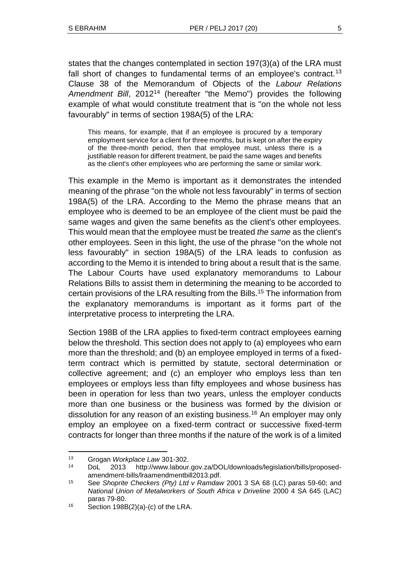states that the changes contemplated in section 197(3)(a) of the LRA must fall short of changes to fundamental terms of an employee's contract.<sup>13</sup> Clause 38 of the Memorandum of Objects of the *Labour Relations Amendment Bill*, 2012<sup>14</sup> (hereafter "the Memo") provides the following example of what would constitute treatment that is "on the whole not less favourably" in terms of section 198A(5) of the LRA:

This means, for example, that if an employee is procured by a temporary employment service for a client for three months, but is kept on after the expiry of the three-month period, then that employee must, unless there is a justifiable reason for different treatment, be paid the same wages and benefits as the client's other employees who are performing the same or similar work.

This example in the Memo is important as it demonstrates the intended meaning of the phrase "on the whole not less favourably" in terms of section 198A(5) of the LRA. According to the Memo the phrase means that an employee who is deemed to be an employee of the client must be paid the same wages and given the same benefits as the client's other employees. This would mean that the employee must be treated *the same* as the client's other employees. Seen in this light, the use of the phrase "on the whole not less favourably" in section 198A(5) of the LRA leads to confusion as according to the Memo it is intended to bring about a result that is the same. The Labour Courts have used explanatory memorandums to Labour Relations Bills to assist them in determining the meaning to be accorded to certain provisions of the LRA resulting from the Bills.<sup>15</sup> The information from the explanatory memorandums is important as it forms part of the interpretative process to interpreting the LRA.

Section 198B of the LRA applies to fixed-term contract employees earning below the threshold. This section does not apply to (a) employees who earn more than the threshold; and (b) an employee employed in terms of a fixedterm contract which is permitted by statute, sectoral determination or collective agreement; and (c) an employer who employs less than ten employees or employs less than fifty employees and whose business has been in operation for less than two years, unless the employer conducts more than one business or the business was formed by the division or dissolution for any reason of an existing business.<sup>16</sup> An employer may only employ an employee on a fixed-term contract or successive fixed-term contracts for longer than three months if the nature of the work is of a limited

l <sup>13</sup> Grogan *Workplace Law* 301-302.

<sup>14</sup> DoL 2013 http://www.labour.gov.za/DOL/downloads/legislation/bills/proposedamendment-bills/lraamendmentbill2013.pdf.

<sup>15</sup> See *Shoprite Checkers (Pty) Ltd v Ramdaw* 2001 3 SA 68 (LC) paras 59-60; and *National Union of Metalworkers of South Africa v Driveline* 2000 4 SA 645 (LAC) paras 79-80.

 $16$  Section 198B(2)(a)-(c) of the LRA.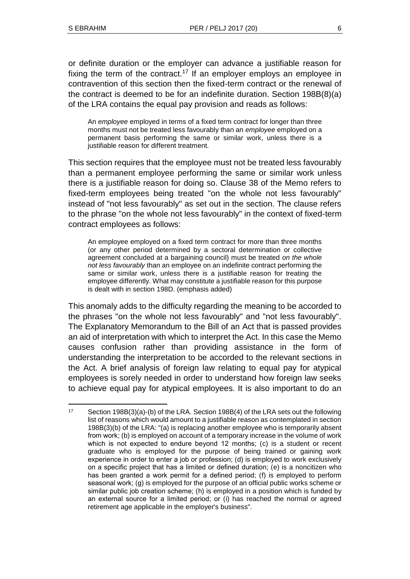l

or definite duration or the employer can advance a justifiable reason for fixing the term of the contract.<sup>17</sup> If an employer employs an employee in contravention of this section then the fixed-term contract or the renewal of the contract is deemed to be for an indefinite duration. Section 198B(8)(a) of the LRA contains the equal pay provision and reads as follows:

An *employee* employed in terms of a fixed term contract for longer than three months must not be treated less favourably than an *employee* employed on a permanent basis performing the same or similar work, unless there is a justifiable reason for different treatment.

This section requires that the employee must not be treated less favourably than a permanent employee performing the same or similar work unless there is a justifiable reason for doing so. Clause 38 of the Memo refers to fixed-term employees being treated "on the whole not less favourably" instead of "not less favourably" as set out in the section. The clause refers to the phrase "on the whole not less favourably" in the context of fixed-term contract employees as follows:

An employee employed on a fixed term contract for more than three months (or any other period determined by a sectoral determination or collective agreement concluded at a bargaining council) must be treated *on the whole not less favourably* than an employee on an indefinite contract performing the same or similar work, unless there is a justifiable reason for treating the employee differently. What may constitute a justifiable reason for this purpose is dealt with in section 198D. (emphasis added)

This anomaly adds to the difficulty regarding the meaning to be accorded to the phrases "on the whole not less favourably" and "not less favourably". The Explanatory Memorandum to the Bill of an Act that is passed provides an aid of interpretation with which to interpret the Act. In this case the Memo causes confusion rather than providing assistance in the form of understanding the interpretation to be accorded to the relevant sections in the Act. A brief analysis of foreign law relating to equal pay for atypical employees is sorely needed in order to understand how foreign law seeks to achieve equal pay for atypical employees. It is also important to do an

<sup>17</sup> Section 198B(3)(a)-(b) of the LRA. Section 198B(4) of the LRA sets out the following list of reasons which would amount to a justifiable reason as contemplated in section 198B(3)(b) of the LRA: "(a) is replacing another employee who is temporarily absent from work; (b) is employed on account of a temporary increase in the volume of work which is not expected to endure beyond 12 months; (c) is a student or recent graduate who is employed for the purpose of being trained or gaining work experience in order to enter a job or profession; (d) is employed to work exclusively on a specific project that has a limited or defined duration; (e) is a noncitizen who has been granted a work permit for a defined period; (f) is employed to perform seasonal work; (g) is employed for the purpose of an official public works scheme or similar public job creation scheme; (h) is employed in a position which is funded by an external source for a limited period; or (i) has reached the normal or agreed retirement age applicable in the employer's business".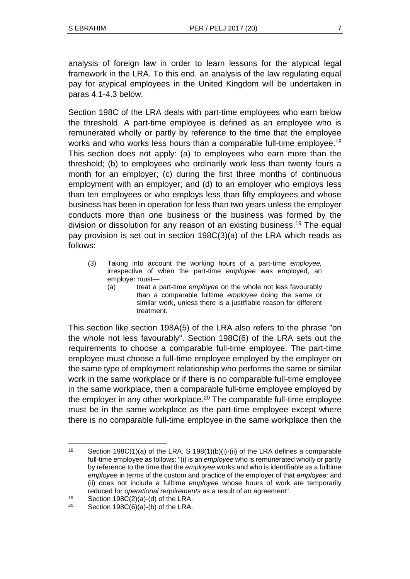analysis of foreign law in order to learn lessons for the atypical legal framework in the LRA. To this end, an analysis of the law regulating equal pay for atypical employees in the United Kingdom will be undertaken in paras 4.1-4.3 below.

Section 198C of the LRA deals with part-time employees who earn below the threshold. A part-time employee is defined as an employee who is remunerated wholly or partly by reference to the time that the employee works and who works less hours than a comparable full-time employee.<sup>18</sup> This section does not apply: (a) to employees who earn more than the threshold; (b) to employees who ordinarily work less than twenty fours a month for an employer; (c) during the first three months of continuous employment with an employer; and (d) to an employer who employs less than ten employees or who employs less than fifty employees and whose business has been in operation for less than two years unless the employer conducts more than one business or the business was formed by the division or dissolution for any reason of an existing business.<sup>19</sup> The equal pay provision is set out in section 198C(3)(a) of the LRA which reads as follows:

- (3) Taking into account the working hours of a part-time *employee,*  irrespective of when the part-time *employee* was employed, an employer must—
	- (a) treat a part-time *employee* on the whole not less favourably than a comparable fulltime *employee* doing the same or similar work, unless there is a justifiable reason for different treatment.

This section like section 198A(5) of the LRA also refers to the phrase "on the whole not less favourably". Section 198C(6) of the LRA sets out the requirements to choose a comparable full-time employee. The part-time employee must choose a full-time employee employed by the employer on the same type of employment relationship who performs the same or similar work in the same workplace or if there is no comparable full-time employee in the same workplace, then a comparable full-time employee employed by the employer in any other workplace.<sup>20</sup> The comparable full-time employee must be in the same workplace as the part-time employee except where there is no comparable full-time employee in the same workplace then the

<sup>18</sup> Section 198C(1)(a) of the LRA. S 198(1)(b)(i)-(ii) of the LRA defines a comparable full-time employee as follows: "(i) is an *employee* who is remunerated wholly or partly by reference to the time that the *employee* works and who is identifiable as a fulltime *employee* in terms of the custom and practice of the employer of that *employee;* and (ii) does not include a fulltime *employee* whose hours of work are temporarily reduced for *operational requirements* as a result of an agreement".

<sup>19</sup> Section 198 $C(2)(a)$ -(d) of the LRA.

<sup>&</sup>lt;sup>20</sup> Section 198C $(6)(a)$ - $(b)$  of the LRA.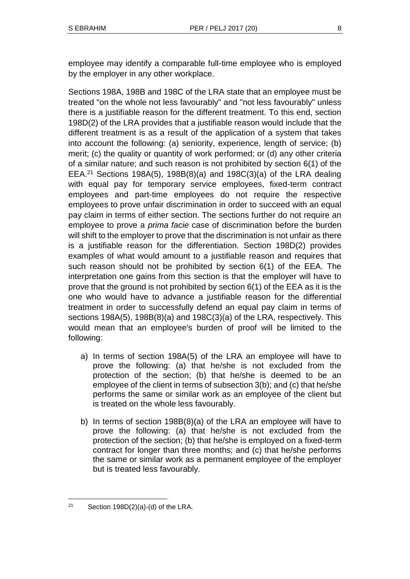employee may identify a comparable full-time employee who is employed by the employer in any other workplace.

Sections 198A, 198B and 198C of the LRA state that an employee must be treated "on the whole not less favourably" and "not less favourably" unless there is a justifiable reason for the different treatment. To this end, section 198D(2) of the LRA provides that a justifiable reason would include that the different treatment is as a result of the application of a system that takes into account the following: (a) seniority, experience, length of service; (b) merit; (c) the quality or quantity of work performed; or (d) any other criteria of a similar nature; and such reason is not prohibited by section 6(1) of the EEA.<sup>21</sup> Sections 198A(5), 198B(8)(a) and 198C(3)(a) of the LRA dealing with equal pay for temporary service employees, fixed-term contract employees and part-time employees do not require the respective employees to prove unfair discrimination in order to succeed with an equal pay claim in terms of either section. The sections further do not require an employee to prove a *prima facie* case of discrimination before the burden will shift to the employer to prove that the discrimination is not unfair as there is a justifiable reason for the differentiation. Section 198D(2) provides examples of what would amount to a justifiable reason and requires that such reason should not be prohibited by section 6(1) of the EEA. The interpretation one gains from this section is that the employer will have to prove that the ground is not prohibited by section 6(1) of the EEA as it is the one who would have to advance a justifiable reason for the differential treatment in order to successfully defend an equal pay claim in terms of sections 198A(5), 198B(8)(a) and 198C(3)(a) of the LRA, respectively. This would mean that an employee's burden of proof will be limited to the following:

- a) In terms of section 198A(5) of the LRA an employee will have to prove the following: (a) that he/she is not excluded from the protection of the section; (b) that he/she is deemed to be an employee of the client in terms of subsection 3(b); and (c) that he/she performs the same or similar work as an employee of the client but is treated on the whole less favourably.
- b) In terms of section 198B(8)(a) of the LRA an employee will have to prove the following: (a) that he/she is not excluded from the protection of the section; (b) that he/she is employed on a fixed-term contract for longer than three months; and (c) that he/she performs the same or similar work as a permanent employee of the employer but is treated less favourably.

l  $21$  Section 198D(2)(a)-(d) of the LRA.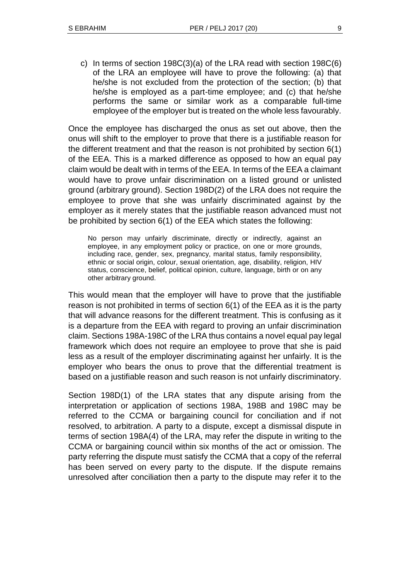c) In terms of section 198C(3)(a) of the LRA read with section 198C(6) of the LRA an employee will have to prove the following: (a) that he/she is not excluded from the protection of the section; (b) that he/she is employed as a part-time employee; and (c) that he/she performs the same or similar work as a comparable full-time employee of the employer but is treated on the whole less favourably.

Once the employee has discharged the onus as set out above, then the onus will shift to the employer to prove that there is a justifiable reason for the different treatment and that the reason is not prohibited by section 6(1) of the EEA. This is a marked difference as opposed to how an equal pay claim would be dealt with in terms of the EEA. In terms of the EEA a claimant would have to prove unfair discrimination on a listed ground or unlisted ground (arbitrary ground). Section 198D(2) of the LRA does not require the employee to prove that she was unfairly discriminated against by the employer as it merely states that the justifiable reason advanced must not be prohibited by section 6(1) of the EEA which states the following:

No person may unfairly discriminate, directly or indirectly, against an employee, in any employment policy or practice, on one or more grounds, including race, gender, sex, pregnancy, marital status, family responsibility, ethnic or social origin, colour, sexual orientation, age, disability, religion, HIV status, conscience, belief, political opinion, culture, language, birth or on any other arbitrary ground.

This would mean that the employer will have to prove that the justifiable reason is not prohibited in terms of section 6(1) of the EEA as it is the party that will advance reasons for the different treatment. This is confusing as it is a departure from the EEA with regard to proving an unfair discrimination claim. Sections 198A-198C of the LRA thus contains a novel equal pay legal framework which does not require an employee to prove that she is paid less as a result of the employer discriminating against her unfairly. It is the employer who bears the onus to prove that the differential treatment is based on a justifiable reason and such reason is not unfairly discriminatory.

Section 198D(1) of the LRA states that any dispute arising from the interpretation or application of sections 198A, 198B and 198C may be referred to the CCMA or bargaining council for conciliation and if not resolved, to arbitration. A party to a dispute, except a dismissal dispute in terms of section 198A(4) of the LRA, may refer the dispute in writing to the CCMA or bargaining council within six months of the act or omission. The party referring the dispute must satisfy the CCMA that a copy of the referral has been served on every party to the dispute. If the dispute remains unresolved after conciliation then a party to the dispute may refer it to the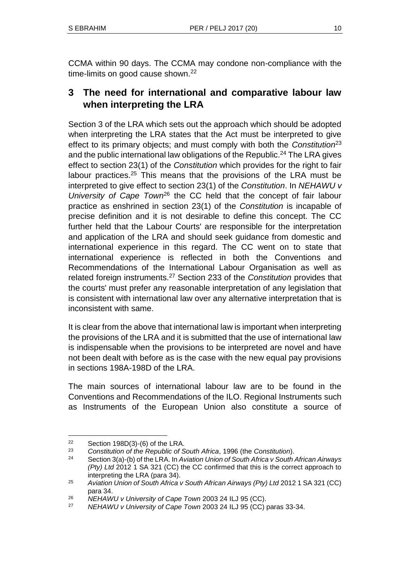CCMA within 90 days. The CCMA may condone non-compliance with the time-limits on good cause shown.<sup>22</sup>

# **3 The need for international and comparative labour law when interpreting the LRA**

Section 3 of the LRA which sets out the approach which should be adopted when interpreting the LRA states that the Act must be interpreted to give effect to its primary objects; and must comply with both the *Constitution*<sup>23</sup> and the public international law obligations of the Republic.<sup>24</sup> The LRA gives effect to section 23(1) of the *Constitution* which provides for the right to fair labour practices.<sup>25</sup> This means that the provisions of the LRA must be interpreted to give effect to section 23(1) of the *Constitution*. In *NEHAWU v University of Cape Town*<sup>26</sup> the CC held that the concept of fair labour practice as enshrined in section 23(1) of the *Constitution* is incapable of precise definition and it is not desirable to define this concept. The CC further held that the Labour Courts' are responsible for the interpretation and application of the LRA and should seek guidance from domestic and international experience in this regard. The CC went on to state that international experience is reflected in both the Conventions and Recommendations of the International Labour Organisation as well as related foreign instruments.<sup>27</sup> Section 233 of the *Constitution* provides that the courts' must prefer any reasonable interpretation of any legislation that is consistent with international law over any alternative interpretation that is inconsistent with same.

It is clear from the above that international law is important when interpreting the provisions of the LRA and it is submitted that the use of international law is indispensable when the provisions to be interpreted are novel and have not been dealt with before as is the case with the new equal pay provisions in sections 198A-198D of the LRA.

The main sources of international labour law are to be found in the Conventions and Recommendations of the ILO. Regional Instruments such as Instruments of the European Union also constitute a source of

<sup>&</sup>lt;sup>22</sup> Section 198D(3)-(6) of the LRA.<br><sup>23</sup> Constitution of the Bonublic of S

<sup>23</sup> *Constitution of the Republic of South Africa*, 1996 (the *Constitution*).

<sup>24</sup> Section 3(a)-(b) of the LRA. In *Aviation Union of South Africa v South African Airways (Pty) Ltd* 2012 1 SA 321 (CC) the CC confirmed that this is the correct approach to interpreting the LRA (para 34).

<sup>25</sup> *Aviation Union of South Africa v South African Airways (Pty) Ltd* 2012 1 SA 321 (CC) para 34.

<sup>26</sup> *NEHAWU v University of Cape Town* 2003 24 ILJ 95 (CC).

<sup>27</sup> *NEHAWU v University of Cape Town* 2003 24 ILJ 95 (CC) paras 33-34.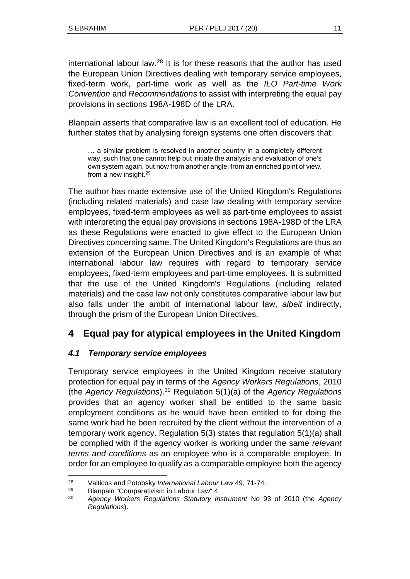international labour law.<sup>28</sup> It is for these reasons that the author has used the European Union Directives dealing with temporary service employees, fixed-term work, part-time work as well as the *ILO Part-time Work Convention* and *Recommendations* to assist with interpreting the equal pay provisions in sections 198A-198D of the LRA.

Blanpain asserts that comparative law is an excellent tool of education. He further states that by analysing foreign systems one often discovers that:

… a similar problem is resolved in another country in a completely different way, such that one cannot help but initiate the analysis and evaluation of one's own system again, but now from another angle, from an enriched point of view, from a new insight.<sup>29</sup>

The author has made extensive use of the United Kingdom's Regulations (including related materials) and case law dealing with temporary service employees, fixed-term employees as well as part-time employees to assist with interpreting the equal pay provisions in sections 198A-198D of the LRA as these Regulations were enacted to give effect to the European Union Directives concerning same. The United Kingdom's Regulations are thus an extension of the European Union Directives and is an example of what international labour law requires with regard to temporary service employees, fixed-term employees and part-time employees. It is submitted that the use of the United Kingdom's Regulations (including related materials) and the case law not only constitutes comparative labour law but also falls under the ambit of international labour law, *albeit* indirectly, through the prism of the European Union Directives.

# **4 Equal pay for atypical employees in the United Kingdom**

### *4.1 Temporary service employees*

Temporary service employees in the United Kingdom receive statutory protection for equal pay in terms of the *Agency Workers Regulations*, 2010 (the *Agency Regulations*).<sup>30</sup> Regulation 5(1)(a) of the *Agency Regulations* provides that an agency worker shall be entitled to the same basic employment conditions as he would have been entitled to for doing the same work had he been recruited by the client without the intervention of a temporary work agency. Regulation 5(3) states that regulation 5(1)(a) shall be complied with if the agency worker is working under the same *relevant terms and conditions* as an employee who is a comparable employee. In order for an employee to qualify as a comparable employee both the agency

l <sup>28</sup> Valticos and Potobsky *International Labour Law* 49, 71-74.

<sup>29</sup> Blanpain "Comparativism in Labour Law" 4.

<sup>30</sup> *Agency Workers Regulations Statutory Instrument* No 93 of 2010 (the *Agency Regulations*).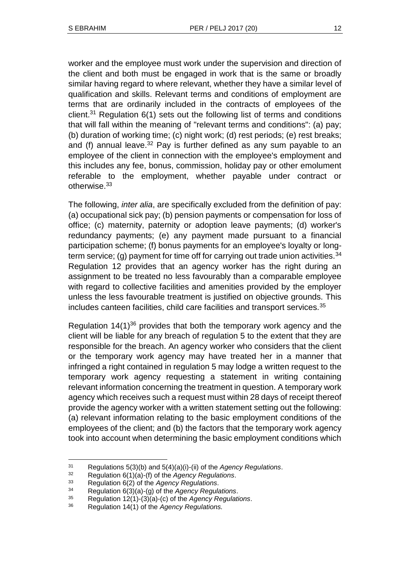worker and the employee must work under the supervision and direction of the client and both must be engaged in work that is the same or broadly similar having regard to where relevant, whether they have a similar level of qualification and skills. Relevant terms and conditions of employment are terms that are ordinarily included in the contracts of employees of the client.<sup>31</sup> Regulation  $6(1)$  sets out the following list of terms and conditions that will fall within the meaning of "relevant terms and conditions": (a) pay; (b) duration of working time; (c) night work; (d) rest periods; (e) rest breaks; and (f) annual leave.<sup>32</sup> Pay is further defined as any sum payable to an employee of the client in connection with the employee's employment and this includes any fee, bonus, commission, holiday pay or other emolument referable to the employment, whether payable under contract or otherwise.<sup>33</sup>

The following, *inter alia*, are specifically excluded from the definition of pay: (a) occupational sick pay; (b) pension payments or compensation for loss of office; (c) maternity, paternity or adoption leave payments; (d) worker's redundancy payments; (e) any payment made pursuant to a financial participation scheme; (f) bonus payments for an employee's loyalty or longterm service; (g) payment for time off for carrying out trade union activities.  $34$ Regulation 12 provides that an agency worker has the right during an assignment to be treated no less favourably than a comparable employee with regard to collective facilities and amenities provided by the employer unless the less favourable treatment is justified on objective grounds. This includes canteen facilities, child care facilities and transport services.<sup>35</sup>

Regulation  $14(1)^{36}$  provides that both the temporary work agency and the client will be liable for any breach of regulation 5 to the extent that they are responsible for the breach. An agency worker who considers that the client or the temporary work agency may have treated her in a manner that infringed a right contained in regulation 5 may lodge a written request to the temporary work agency requesting a statement in writing containing relevant information concerning the treatment in question. A temporary work agency which receives such a request must within 28 days of receipt thereof provide the agency worker with a written statement setting out the following: (a) relevant information relating to the basic employment conditions of the employees of the client; and (b) the factors that the temporary work agency took into account when determining the basic employment conditions which

<sup>31</sup> Regulations 5(3)(b) and 5(4)(a)(i)-(ii) of the *Agency Regulations*.

<sup>32</sup> Regulation 6(1)(a)-(f) of the *Agency Regulations*.

<sup>33</sup> Regulation 6(2) of the *Agency Regulations*.

<sup>34</sup> Regulation 6(3)(a)-(g) of the *Agency Regulations*.

<sup>35</sup> Regulation 12(1)-(3)(a)-(c) of the *Agency Regulations*.

<sup>36</sup> Regulation 14(1) of the *Agency Regulations.*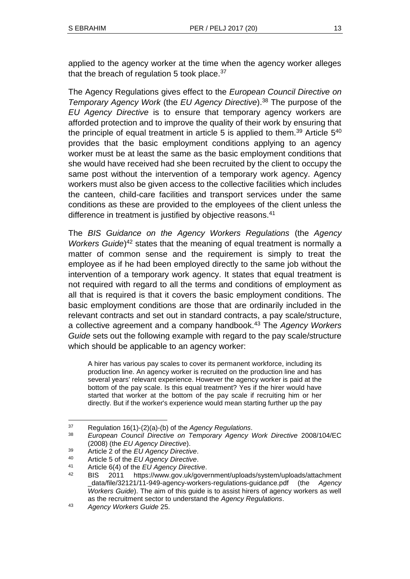applied to the agency worker at the time when the agency worker alleges that the breach of regulation 5 took place.<sup>37</sup>

The Agency Regulations gives effect to the *European Council Directive on Temporary Agency Work* (the *EU Agency Directive*).<sup>38</sup> The purpose of the *EU Agency Directive* is to ensure that temporary agency workers are afforded protection and to improve the quality of their work by ensuring that the principle of equal treatment in article 5 is applied to them.<sup>39</sup> Article  $5^{40}$ provides that the basic employment conditions applying to an agency worker must be at least the same as the basic employment conditions that she would have received had she been recruited by the client to occupy the same post without the intervention of a temporary work agency. Agency workers must also be given access to the collective facilities which includes the canteen, child-care facilities and transport services under the same conditions as these are provided to the employees of the client unless the difference in treatment is justified by objective reasons.<sup>41</sup>

The *BIS Guidance on the Agency Workers Regulations* (the *Agency*  Workers Guide)<sup>42</sup> states that the meaning of equal treatment is normally a matter of common sense and the requirement is simply to treat the employee as if he had been employed directly to the same job without the intervention of a temporary work agency. It states that equal treatment is not required with regard to all the terms and conditions of employment as all that is required is that it covers the basic employment conditions. The basic employment conditions are those that are ordinarily included in the relevant contracts and set out in standard contracts, a pay scale/structure, a collective agreement and a company handbook.<sup>43</sup> The *Agency Workers Guide* sets out the following example with regard to the pay scale/structure which should be applicable to an agency worker:

A hirer has various pay scales to cover its permanent workforce, including its production line. An agency worker is recruited on the production line and has several years' relevant experience. However the agency worker is paid at the bottom of the pay scale. Is this equal treatment? Yes if the hirer would have started that worker at the bottom of the pay scale if recruiting him or her directly. But if the worker's experience would mean starting further up the pay

l <sup>37</sup> Regulation 16(1)-(2)(a)-(b) of the *Agency Regulations*.

<sup>38</sup> *European Council Directive on Temporary Agency Work Directive* 2008/104/EC (2008) (the *EU Agency Directive*).

<sup>39</sup> Article 2 of the *EU Agency Directive*.

<sup>40</sup> Article 5 of the *EU Agency Directive*.

<sup>41</sup> Article 6(4) of the *EU Agency Directive*.

<sup>42</sup> BIS 2011 https://www.gov.uk/government/uploads/system/uploads/attachment \_data/file/32121/11-949-agency-workers-regulations-guidance.pdf (the *Agency Workers Guide*). The aim of this guide is to assist hirers of agency workers as well as the recruitment sector to understand the *Agency Regulations*.

<sup>43</sup> *Agency Workers Guide* 25.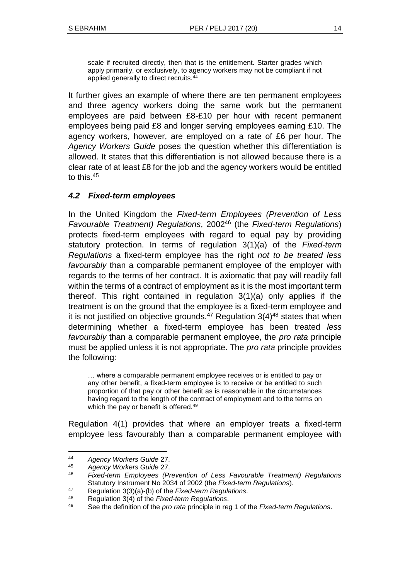scale if recruited directly, then that is the entitlement. Starter grades which apply primarily, or exclusively, to agency workers may not be compliant if not applied generally to direct recruits.<sup>44</sup>

It further gives an example of where there are ten permanent employees and three agency workers doing the same work but the permanent employees are paid between £8-£10 per hour with recent permanent employees being paid £8 and longer serving employees earning £10. The agency workers, however, are employed on a rate of £6 per hour. The *Agency Workers Guide* poses the question whether this differentiation is allowed. It states that this differentiation is not allowed because there is a clear rate of at least £8 for the job and the agency workers would be entitled to this.<sup>45</sup>

### *4.2 Fixed-term employees*

In the United Kingdom the *Fixed-term Employees (Prevention of Less Favourable Treatment) Regulations*, 2002<sup>46</sup> (the *Fixed-term Regulations*) protects fixed-term employees with regard to equal pay by providing statutory protection. In terms of regulation 3(1)(a) of the *Fixed-term Regulations* a fixed-term employee has the right *not to be treated less favourably* than a comparable permanent employee of the employer with regards to the terms of her contract. It is axiomatic that pay will readily fall within the terms of a contract of employment as it is the most important term thereof. This right contained in regulation 3(1)(a) only applies if the treatment is on the ground that the employee is a fixed-term employee and it is not justified on objective grounds. $47$  Regulation 3(4) $48$  states that when determining whether a fixed-term employee has been treated *less favourably* than a comparable permanent employee, the *pro rata* principle must be applied unless it is not appropriate. The *pro rata* principle provides the following:

… where a comparable permanent employee receives or is entitled to pay or any other benefit, a fixed-term employee is to receive or be entitled to such proportion of that pay or other benefit as is reasonable in the circumstances having regard to the length of the contract of employment and to the terms on which the pay or benefit is offered.<sup>49</sup>

Regulation 4(1) provides that where an employer treats a fixed-term employee less favourably than a comparable permanent employee with

<sup>44</sup> *Agency Workers Guide* 27.

<sup>45</sup> *Agency Workers Guide* 27.

<sup>46</sup> *Fixed-term Employees (Prevention of Less Favourable Treatment) Regulations* Statutory Instrument No 2034 of 2002 (the *Fixed-term Regulations*).

<sup>47</sup> Regulation 3(3)(a)-(b) of the *Fixed-term Regulations*.

<sup>48</sup> Regulation 3(4) of the *Fixed-term Regulations*.

<sup>49</sup> See the definition of the *pro rata* principle in reg 1 of the *Fixed-term Regulations*.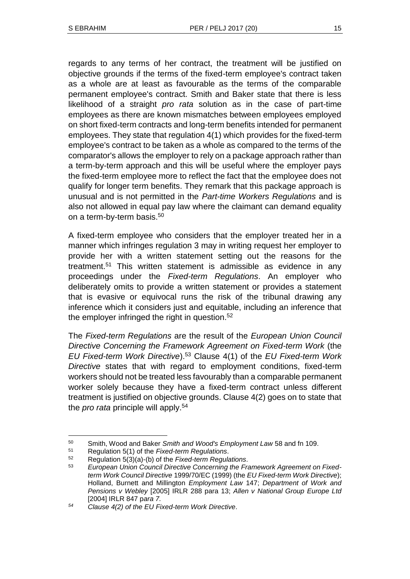regards to any terms of her contract, the treatment will be justified on objective grounds if the terms of the fixed-term employee's contract taken as a whole are at least as favourable as the terms of the comparable permanent employee's contract. Smith and Baker state that there is less likelihood of a straight *pro rata* solution as in the case of part-time employees as there are known mismatches between employees employed on short fixed-term contracts and long-term benefits intended for permanent employees. They state that regulation 4(1) which provides for the fixed-term employee's contract to be taken as a whole as compared to the terms of the comparator's allows the employer to rely on a package approach rather than a term-by-term approach and this will be useful where the employer pays the fixed-term employee more to reflect the fact that the employee does not qualify for longer term benefits. They remark that this package approach is unusual and is not permitted in the *Part-time Workers Regulations* and is also not allowed in equal pay law where the claimant can demand equality on a term-by-term basis.<sup>50</sup>

A fixed-term employee who considers that the employer treated her in a manner which infringes regulation 3 may in writing request her employer to provide her with a written statement setting out the reasons for the treatment.<sup>51</sup> This written statement is admissible as evidence in any proceedings under the *Fixed-term Regulations*. An employer who deliberately omits to provide a written statement or provides a statement that is evasive or equivocal runs the risk of the tribunal drawing any inference which it considers just and equitable, including an inference that the employer infringed the right in question.<sup>52</sup>

The *Fixed-term Regulations* are the result of the *European Union Council Directive Concerning the Framework Agreement on Fixed-term Work* (the *EU Fixed-term Work Directive*).<sup>53</sup> Clause 4(1) of the *EU Fixed-term Work Directive* states that with regard to employment conditions, fixed-term workers should not be treated less favourably than a comparable permanent worker solely because they have a fixed-term contract unless different treatment is justified on objective grounds. Clause 4(2) goes on to state that the *pro rata* principle will apply.<sup>54</sup>

<sup>50</sup> Smith, Wood and Baker *Smith and Wood's Employment Law* 58 and fn 109.

<sup>51</sup> Regulation 5(1) of the *Fixed-term Regulations*.

<sup>52</sup> Regulation 5(3)(a)-(b) of the *Fixed-term Regulations*.

<sup>53</sup> *European Union Council Directive Concerning the Framework Agreement on Fixedterm Work Council Directive* 1999/70/EC (1999) (the *EU Fixed-term Work Directive*); Holland, Burnett and Millington *Employment Law* 147; *Department of Work and Pensions v Webley* [2005] IRLR 288 para 13; *Allen v National Group Europe Ltd* [2004] IRLR 847 p*ara 7.* 

*<sup>54</sup> Clause 4(2) of the EU Fixed-term Work Directive*.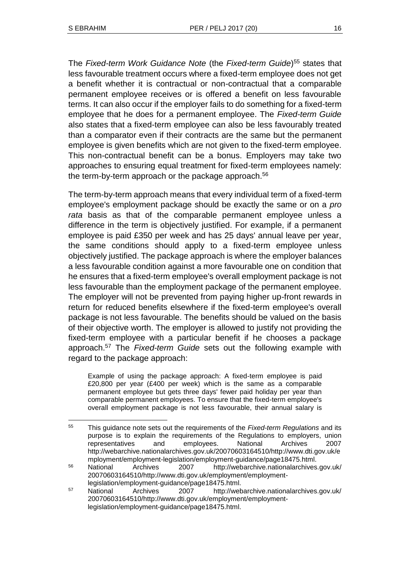The *Fixed-term Work Guidance Note* (the *Fixed-term Guide*) <sup>55</sup> states that less favourable treatment occurs where a fixed-term employee does not get a benefit whether it is contractual or non-contractual that a comparable permanent employee receives or is offered a benefit on less favourable terms. It can also occur if the employer fails to do something for a fixed-term employee that he does for a permanent employee. The *Fixed-term Guide* also states that a fixed-term employee can also be less favourably treated than a comparator even if their contracts are the same but the permanent employee is given benefits which are not given to the fixed-term employee. This non-contractual benefit can be a bonus. Employers may take two approaches to ensuring equal treatment for fixed-term employees namely: the term-by-term approach or the package approach. $56$ 

The term-by-term approach means that every individual term of a fixed-term employee's employment package should be exactly the same or on a *pro rata* basis as that of the comparable permanent employee unless a difference in the term is objectively justified. For example, if a permanent employee is paid £350 per week and has 25 days' annual leave per year, the same conditions should apply to a fixed-term employee unless objectively justified. The package approach is where the employer balances a less favourable condition against a more favourable one on condition that he ensures that a fixed-term employee's overall employment package is not less favourable than the employment package of the permanent employee. The employer will not be prevented from paying higher up-front rewards in return for reduced benefits elsewhere if the fixed-term employee's overall package is not less favourable. The benefits should be valued on the basis of their objective worth. The employer is allowed to justify not providing the fixed-term employee with a particular benefit if he chooses a package approach.<sup>57</sup> The *Fixed-term Guide* sets out the following example with regard to the package approach:

Example of using the package approach: A fixed-term employee is paid £20,800 per year (£400 per week) which is the same as a comparable permanent employee but gets three days' fewer paid holiday per year than comparable permanent employees. To ensure that the fixed-term employee's overall employment package is not less favourable, their annual salary is

l <sup>55</sup> This guidance note sets out the requirements of the *Fixed-term Regulations* and its purpose is to explain the requirements of the Regulations to employers, union representatives and employees. National Archives 2007 http://webarchive.nationalarchives.gov.uk/20070603164510/http://www.dti.gov.uk/e mployment/employment-legislation/employment-guidance/page18475.html.

<sup>56</sup> National Archives 2007 http://webarchive.nationalarchives.gov.uk/ 20070603164510/http://www.dti.gov.uk/employment/employmentlegislation/employment-guidance/page18475.html.

<sup>57</sup> National Archives 2007 http://webarchive.nationalarchives.gov.uk/ 20070603164510/http://www.dti.gov.uk/employment/employmentlegislation/employment-guidance/page18475.html.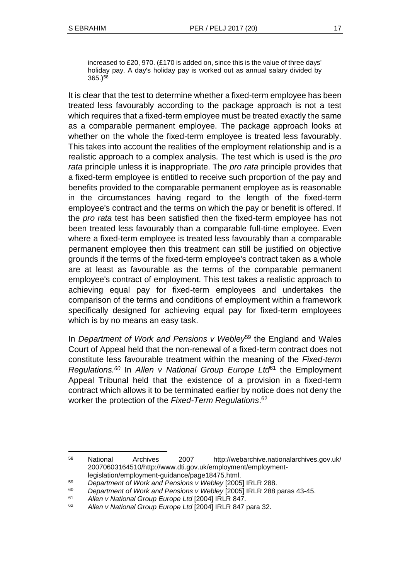increased to £20, 970. (£170 is added on, since this is the value of three days' holiday pay. A day's holiday pay is worked out as annual salary divided by 365.)<sup>58</sup>

It is clear that the test to determine whether a fixed-term employee has been treated less favourably according to the package approach is not a test which requires that a fixed-term employee must be treated exactly the same as a comparable permanent employee. The package approach looks at whether on the whole the fixed-term employee is treated less favourably. This takes into account the realities of the employment relationship and is a realistic approach to a complex analysis. The test which is used is the *pro rata* principle unless it is inappropriate. The *pro rata* principle provides that a fixed-term employee is entitled to receive such proportion of the pay and benefits provided to the comparable permanent employee as is reasonable in the circumstances having regard to the length of the fixed-term employee's contract and the terms on which the pay or benefit is offered. If the *pro rata* test has been satisfied then the fixed-term employee has not been treated less favourably than a comparable full-time employee. Even where a fixed-term employee is treated less favourably than a comparable permanent employee then this treatment can still be justified on objective grounds if the terms of the fixed-term employee's contract taken as a whole are at least as favourable as the terms of the comparable permanent employee's contract of employment. This test takes a realistic approach to achieving equal pay for fixed-term employees and undertakes the comparison of the terms and conditions of employment within a framework specifically designed for achieving equal pay for fixed-term employees which is by no means an easy task.

In *Department of Work and Pensions v Webley*<sup>59</sup> the England and Wales Court of Appeal held that the non-renewal of a fixed-term contract does not constitute less favourable treatment within the meaning of the *Fixed-term Regulations.<sup>60</sup>* In *Allen v National Group Europe Ltd*<sup>61</sup> the Employment Appeal Tribunal held that the existence of a provision in a fixed-term contract which allows it to be terminated earlier by notice does not deny the worker the protection of the *Fixed-Term Regulations*. 62

<sup>58</sup> National Archives 2007 http://webarchive.nationalarchives.gov.uk/ 20070603164510/http://www.dti.gov.uk/employment/employmentlegislation/employment-guidance/page18475.html.

<sup>59</sup> *Department of Work and Pensions v Webley* [2005] IRLR 288.

<sup>60</sup> *Department of Work and Pensions v Webley* [2005] IRLR 288 paras 43-45.

<sup>61</sup> *Allen v National Group Europe Ltd* [2004] IRLR 847.

<sup>62</sup> *Allen v National Group Europe Ltd* [2004] IRLR 847 para 32.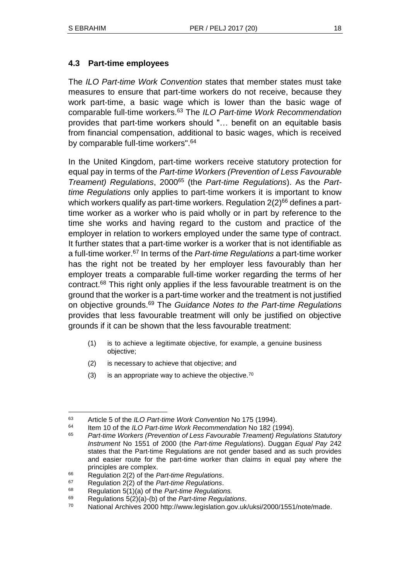### **4.3 Part-time employees**

The *ILO Part-time Work Convention* states that member states must take measures to ensure that part-time workers do not receive, because they work part-time, a basic wage which is lower than the basic wage of comparable full-time workers.<sup>63</sup> The *ILO Part-time Work Recommendation* provides that part-time workers should "… benefit on an equitable basis from financial compensation, additional to basic wages, which is received by comparable full-time workers".<sup>64</sup>

In the United Kingdom, part-time workers receive statutory protection for equal pay in terms of the *Part-time Workers (Prevention of Less Favourable Treament*) Regulations, 2000<sup>65</sup> (the *Part-time Regulations*). As the *Parttime Regulations* only applies to part-time workers it is important to know which workers qualify as part-time workers. Regulation  $2(2)^{66}$  defines a parttime worker as a worker who is paid wholly or in part by reference to the time she works and having regard to the custom and practice of the employer in relation to workers employed under the same type of contract. It further states that a part-time worker is a worker that is not identifiable as a full-time worker.<sup>67</sup> In terms of the *Part-time Regulations* a part-time worker has the right not be treated by her employer less favourably than her employer treats a comparable full-time worker regarding the terms of her contract.<sup>68</sup> This right only applies if the less favourable treatment is on the ground that the worker is a part-time worker and the treatment is not justified on objective grounds.<sup>69</sup> The *Guidance Notes to the Part-time Regulations* provides that less favourable treatment will only be justified on objective grounds if it can be shown that the less favourable treatment:

- (1) is to achieve a legitimate objective, for example, a genuine business objective;
- (2) is necessary to achieve that objective; and
- $(3)$  is an appropriate way to achieve the objective.<sup>70</sup>

 $\overline{a}$ 

<sup>63</sup> Article 5 of the *ILO Part-time Work Convention* No 175 (1994).

<sup>64</sup> Item 10 of the *ILO Part-time Work Recommendation* No 182 (1994).

<sup>65</sup> *Part-time Workers (Prevention of Less Favourable Treament) Regulations Statutory Instrument* No 1551 of 2000 (the *Part-time Regulations*). Duggan *Equal Pay* 242 states that the Part-time Regulations are not gender based and as such provides and easier route for the part-time worker than claims in equal pay where the principles are complex.

<sup>66</sup> Regulation 2(2) of the *Part-time Regulations*.

<sup>67</sup> Regulation 2(2) of the *Part-time Regulations*.

<sup>68</sup> Regulation 5(1)(a) of the *Part-time Regulations.*

<sup>69</sup> Regulations 5(2)(a)-(b) of the *Part-time Regulations*.

<sup>70</sup> National Archives 2000 http://www.legislation.gov.uk/uksi/2000/1551/note/made.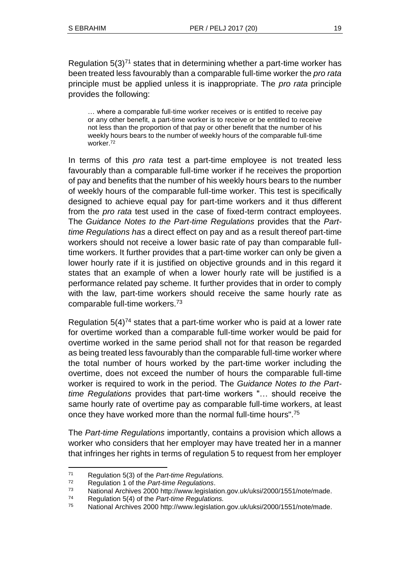Regulation  $5(3)^{71}$  states that in determining whether a part-time worker has been treated less favourably than a comparable full-time worker the *pro rata* principle must be applied unless it is inappropriate. The *pro rata* principle provides the following:

… where a comparable full-time worker receives or is entitled to receive pay or any other benefit, a part-time worker is to receive or be entitled to receive not less than the proportion of that pay or other benefit that the number of his weekly hours bears to the number of weekly hours of the comparable full-time worker.<sup>72</sup>

In terms of this *pro rata* test a part-time employee is not treated less favourably than a comparable full-time worker if he receives the proportion of pay and benefits that the number of his weekly hours bears to the number of weekly hours of the comparable full-time worker. This test is specifically designed to achieve equal pay for part-time workers and it thus different from the *pro rata* test used in the case of fixed-term contract employees. The *Guidance Notes to the Part-time Regulations* provides that the *Parttime Regulations has* a direct effect on pay and as a result thereof part-time workers should not receive a lower basic rate of pay than comparable fulltime workers. It further provides that a part-time worker can only be given a lower hourly rate if it is justified on objective grounds and in this regard it states that an example of when a lower hourly rate will be justified is a performance related pay scheme. It further provides that in order to comply with the law, part-time workers should receive the same hourly rate as comparable full-time workers.<sup>73</sup>

Regulation  $5(4)<sup>74</sup>$  states that a part-time worker who is paid at a lower rate for overtime worked than a comparable full-time worker would be paid for overtime worked in the same period shall not for that reason be regarded as being treated less favourably than the comparable full-time worker where the total number of hours worked by the part-time worker including the overtime, does not exceed the number of hours the comparable full-time worker is required to work in the period. The *Guidance Notes to the Parttime Regulations* provides that part-time workers "… should receive the same hourly rate of overtime pay as comparable full-time workers, at least once they have worked more than the normal full-time hours".<sup>75</sup>

The *Part-time Regulations* importantly, contains a provision which allows a worker who considers that her employer may have treated her in a manner that infringes her rights in terms of regulation 5 to request from her employer

 <sup>71</sup> Regulation 5(3) of the *Part-time Regulations.*

<sup>72</sup> Regulation 1 of the *Part-time Regulations*.

<sup>73</sup> National Archives 2000 http://www.legislation.gov.uk/uksi/2000/1551/note/made.

<sup>74</sup> Regulation 5(4) of the *Part-time Regulations.*

<sup>75</sup> National Archives 2000 http://www.legislation.gov.uk/uksi/2000/1551/note/made.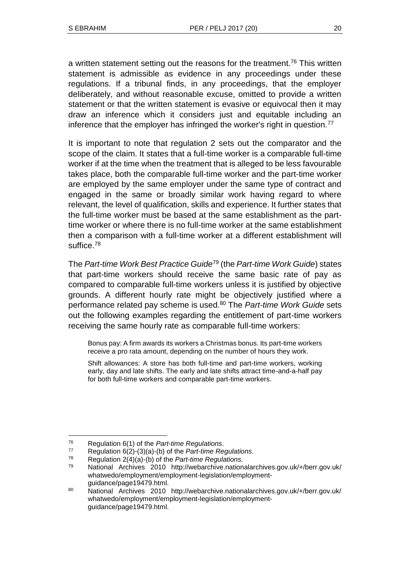a written statement setting out the reasons for the treatment.<sup>76</sup> This written statement is admissible as evidence in any proceedings under these regulations. If a tribunal finds, in any proceedings, that the employer deliberately, and without reasonable excuse, omitted to provide a written statement or that the written statement is evasive or equivocal then it may draw an inference which it considers just and equitable including an inference that the employer has infringed the worker's right in question.<sup>77</sup>

It is important to note that regulation 2 sets out the comparator and the scope of the claim. It states that a full-time worker is a comparable full-time worker if at the time when the treatment that is alleged to be less favourable takes place, both the comparable full-time worker and the part-time worker are employed by the same employer under the same type of contract and engaged in the same or broadly similar work having regard to where relevant, the level of qualification, skills and experience. It further states that the full-time worker must be based at the same establishment as the parttime worker or where there is no full-time worker at the same establishment then a comparison with a full-time worker at a different establishment will suffice.<sup>78</sup>

The *Part-time Work Best Practice Guide*<sup>79</sup> (the *Part-time Work Guide*) states that part-time workers should receive the same basic rate of pay as compared to comparable full-time workers unless it is justified by objective grounds. A different hourly rate might be objectively justified where a performance related pay scheme is used.<sup>80</sup> The *Part-time Work Guide* sets out the following examples regarding the entitlement of part-time workers receiving the same hourly rate as comparable full-time workers:

Bonus pay: A firm awards its workers a Christmas bonus. Its part-time workers receive a pro rata amount, depending on the number of hours they work.

Shift allowances: A store has both full-time and part-time workers, working early, day and late shifts. The early and late shifts attract time-and-a-half pay for both full-time workers and comparable part-time workers.

<sup>76</sup> Regulation 6(1) of the *Part-time Regulations*.

<sup>77</sup> Regulation 6(2)-(3)(a)-(b) of the *Part-time Regulations*.

<sup>78</sup> Regulation 2(4)(a)-(b) of the *Part-time Regulations.*

<sup>79</sup> National Archives 2010 http://webarchive.nationalarchives.gov.uk/+/berr.gov.uk/ whatwedo/employment/employment-legislation/employmentguidance/page19479.html.

<sup>80</sup> National Archives 2010 http://webarchive.nationalarchives.gov.uk/+/berr.gov.uk/ whatwedo/employment/employment-legislation/employmentguidance/page19479.html.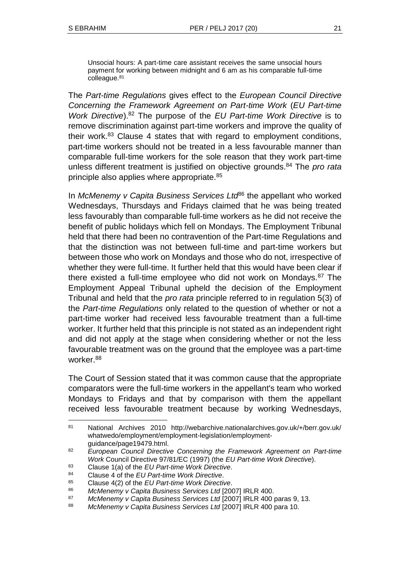Unsocial hours: A part-time care assistant receives the same unsocial hours payment for working between midnight and 6 am as his comparable full-time colleague.<sup>81</sup>

The *Part-time Regulations* gives effect to the *European Council Directive Concerning the Framework Agreement on Part-time Work* (*EU Part-time Work Directive*).<sup>82</sup> The purpose of the *EU Part-time Work Directive* is to remove discrimination against part-time workers and improve the quality of their work. $83$  Clause 4 states that with regard to employment conditions, part-time workers should not be treated in a less favourable manner than comparable full-time workers for the sole reason that they work part-time unless different treatment is justified on objective grounds.<sup>84</sup> The *pro rata* principle also applies where appropriate.<sup>85</sup>

In *McMenemy v Capita Business Services Ltd*<sup>86</sup> the appellant who worked Wednesdays, Thursdays and Fridays claimed that he was being treated less favourably than comparable full-time workers as he did not receive the benefit of public holidays which fell on Mondays. The Employment Tribunal held that there had been no contravention of the Part-time Regulations and that the distinction was not between full-time and part-time workers but between those who work on Mondays and those who do not, irrespective of whether they were full-time. It further held that this would have been clear if there existed a full-time employee who did not work on Mondays.<sup>87</sup> The Employment Appeal Tribunal upheld the decision of the Employment Tribunal and held that the *pro rata* principle referred to in regulation 5(3) of the *Part-time Regulations* only related to the question of whether or not a part-time worker had received less favourable treatment than a full-time worker. It further held that this principle is not stated as an independent right and did not apply at the stage when considering whether or not the less favourable treatment was on the ground that the employee was a part-time worker.<sup>88</sup>

The Court of Session stated that it was common cause that the appropriate comparators were the full-time workers in the appellant's team who worked Mondays to Fridays and that by comparison with them the appellant received less favourable treatment because by working Wednesdays,

<sup>81</sup> National Archives 2010 http://webarchive.nationalarchives.gov.uk/+/berr.gov.uk/ whatwedo/employment/employment-legislation/employmentguidance/page19479.html.

<sup>82</sup> *European Council Directive Concerning the Framework Agreement on Part-time Work* Council Directive 97/81/EC (1997) (the *EU Part-time Work Directive*).

<sup>83</sup> Clause 1(a) of the *EU Part-time Work Directive*.

<sup>84</sup> Clause 4 of the *EU Part-time Work Directive*.

<sup>85</sup> Clause 4(2) of the *EU Part-time Work Directive*.

<sup>86</sup> *McMenemy v Capita Business Services Ltd* [2007] IRLR 400.

<sup>87</sup> *McMenemy v Capita Business Services Ltd* [2007] IRLR 400 paras 9, 13.

<sup>88</sup> *McMenemy v Capita Business Services Ltd* [2007] IRLR 400 para 10.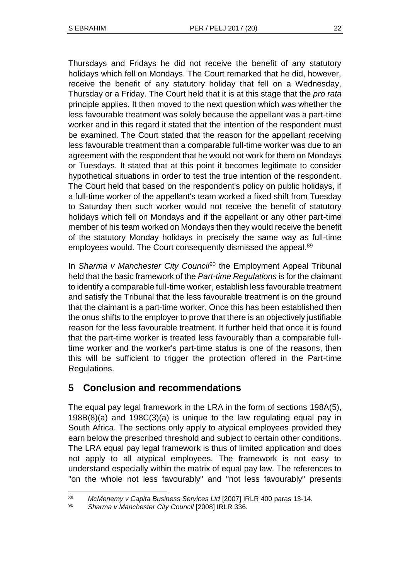Thursdays and Fridays he did not receive the benefit of any statutory holidays which fell on Mondays. The Court remarked that he did, however, receive the benefit of any statutory holiday that fell on a Wednesday, Thursday or a Friday. The Court held that it is at this stage that the *pro rata* principle applies. It then moved to the next question which was whether the less favourable treatment was solely because the appellant was a part-time worker and in this regard it stated that the intention of the respondent must be examined. The Court stated that the reason for the appellant receiving less favourable treatment than a comparable full-time worker was due to an agreement with the respondent that he would not work for them on Mondays or Tuesdays. It stated that at this point it becomes legitimate to consider hypothetical situations in order to test the true intention of the respondent. The Court held that based on the respondent's policy on public holidays, if a full-time worker of the appellant's team worked a fixed shift from Tuesday to Saturday then such worker would not receive the benefit of statutory holidays which fell on Mondays and if the appellant or any other part-time member of his team worked on Mondays then they would receive the benefit of the statutory Monday holidays in precisely the same way as full-time employees would. The Court consequently dismissed the appeal.<sup>89</sup>

In *Sharma v Manchester City Counci<sup>po</sup>* the Employment Appeal Tribunal held that the basic framework of the *Part-time Regulations* is for the claimant to identify a comparable full-time worker, establish less favourable treatment and satisfy the Tribunal that the less favourable treatment is on the ground that the claimant is a part-time worker. Once this has been established then the onus shifts to the employer to prove that there is an objectively justifiable reason for the less favourable treatment. It further held that once it is found that the part-time worker is treated less favourably than a comparable fulltime worker and the worker's part-time status is one of the reasons, then this will be sufficient to trigger the protection offered in the Part-time Regulations.

# **5 Conclusion and recommendations**

The equal pay legal framework in the LRA in the form of sections 198A(5), 198B(8)(a) and 198C(3)(a) is unique to the law regulating equal pay in South Africa. The sections only apply to atypical employees provided they earn below the prescribed threshold and subject to certain other conditions. The LRA equal pay legal framework is thus of limited application and does not apply to all atypical employees. The framework is not easy to understand especially within the matrix of equal pay law. The references to "on the whole not less favourably" and "not less favourably" presents

 <sup>89</sup> *McMenemy v Capita Business Services Ltd* [2007] IRLR 400 paras 13-14.

<sup>90</sup> *Sharma v Manchester City Council* [2008] IRLR 336.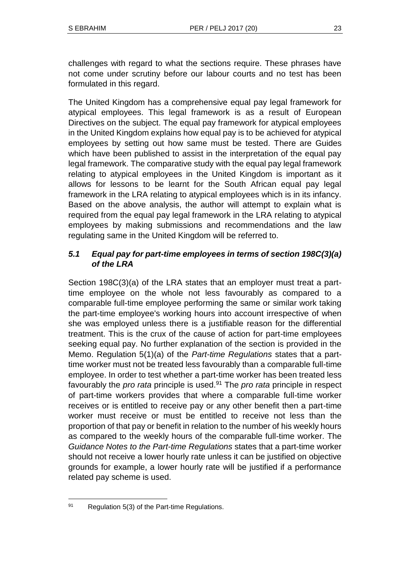challenges with regard to what the sections require. These phrases have not come under scrutiny before our labour courts and no test has been formulated in this regard.

The United Kingdom has a comprehensive equal pay legal framework for atypical employees. This legal framework is as a result of European Directives on the subject. The equal pay framework for atypical employees in the United Kingdom explains how equal pay is to be achieved for atypical employees by setting out how same must be tested. There are Guides which have been published to assist in the interpretation of the equal pay legal framework. The comparative study with the equal pay legal framework relating to atypical employees in the United Kingdom is important as it allows for lessons to be learnt for the South African equal pay legal framework in the LRA relating to atypical employees which is in its infancy. Based on the above analysis, the author will attempt to explain what is required from the equal pay legal framework in the LRA relating to atypical employees by making submissions and recommendations and the law regulating same in the United Kingdom will be referred to.

### *5.1 Equal pay for part-time employees in terms of section 198C(3)(a) of the LRA*

Section 198C(3)(a) of the LRA states that an employer must treat a parttime employee on the whole not less favourably as compared to a comparable full-time employee performing the same or similar work taking the part-time employee's working hours into account irrespective of when she was employed unless there is a justifiable reason for the differential treatment. This is the crux of the cause of action for part-time employees seeking equal pay. No further explanation of the section is provided in the Memo. Regulation 5(1)(a) of the *Part-time Regulations* states that a parttime worker must not be treated less favourably than a comparable full-time employee. In order to test whether a part-time worker has been treated less favourably the *pro rata* principle is used.<sup>91</sup> The *pro rata* principle in respect of part-time workers provides that where a comparable full-time worker receives or is entitled to receive pay or any other benefit then a part-time worker must receive or must be entitled to receive not less than the proportion of that pay or benefit in relation to the number of his weekly hours as compared to the weekly hours of the comparable full-time worker. The *Guidance Notes to the Part-time Regulations* states that a part-time worker should not receive a lower hourly rate unless it can be justified on objective grounds for example, a lower hourly rate will be justified if a performance related pay scheme is used.

 91 Regulation 5(3) of the Part-time Regulations.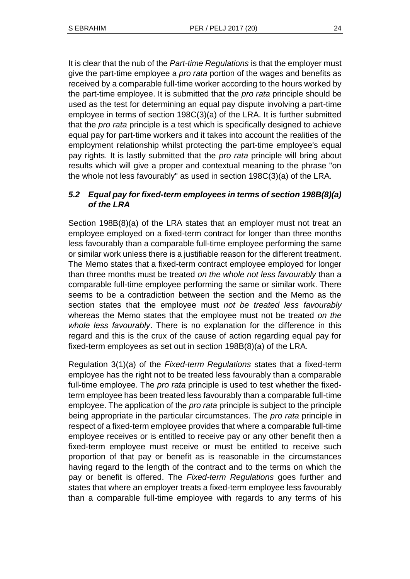It is clear that the nub of the *Part-time Regulations* is that the employer must give the part-time employee a *pro rata* portion of the wages and benefits as received by a comparable full-time worker according to the hours worked by the part-time employee. It is submitted that the *pro rata* principle should be used as the test for determining an equal pay dispute involving a part-time employee in terms of section 198C(3)(a) of the LRA. It is further submitted that the *pro rata* principle is a test which is specifically designed to achieve equal pay for part-time workers and it takes into account the realities of the employment relationship whilst protecting the part-time employee's equal pay rights. It is lastly submitted that the *pro rata* principle will bring about results which will give a proper and contextual meaning to the phrase "on the whole not less favourably" as used in section 198C(3)(a) of the LRA.

## *5.2 Equal pay for fixed-term employees in terms of section 198B(8)(a) of the LRA*

Section 198B(8)(a) of the LRA states that an employer must not treat an employee employed on a fixed-term contract for longer than three months less favourably than a comparable full-time employee performing the same or similar work unless there is a justifiable reason for the different treatment. The Memo states that a fixed-term contract employee employed for longer than three months must be treated *on the whole not less favourably* than a comparable full-time employee performing the same or similar work. There seems to be a contradiction between the section and the Memo as the section states that the employee must *not be treated less favourably* whereas the Memo states that the employee must not be treated *on the whole less favourably*. There is no explanation for the difference in this regard and this is the crux of the cause of action regarding equal pay for fixed-term employees as set out in section 198B(8)(a) of the LRA.

Regulation 3(1)(a) of the *Fixed-term Regulations* states that a fixed-term employee has the right not to be treated less favourably than a comparable full-time employee. The *pro rata* principle is used to test whether the fixedterm employee has been treated less favourably than a comparable full-time employee. The application of the *pro rata* principle is subject to the principle being appropriate in the particular circumstances. The *pro rata* principle in respect of a fixed-term employee provides that where a comparable full-time employee receives or is entitled to receive pay or any other benefit then a fixed-term employee must receive or must be entitled to receive such proportion of that pay or benefit as is reasonable in the circumstances having regard to the length of the contract and to the terms on which the pay or benefit is offered. The *Fixed-term Regulations* goes further and states that where an employer treats a fixed-term employee less favourably than a comparable full-time employee with regards to any terms of his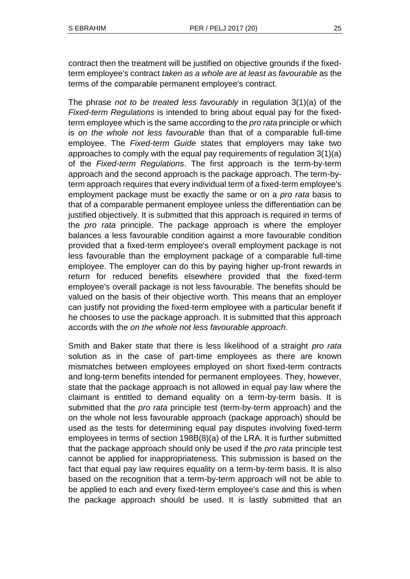contract then the treatment will be justified on objective grounds if the fixedterm employee's contract *taken as a whole are at least as favourable* as the terms of the comparable permanent employee's contract.

The phrase *not to be treated less favourably* in regulation 3(1)(a) of the *Fixed-term Regulations* is intended to bring about equal pay for the fixedterm employee which is the same according to the *pro rata* principle or which is *on the whole not less favourable* than that of a comparable full-time employee. The *Fixed-term Guide* states that employers may take two approaches to comply with the equal pay requirements of regulation 3(1)(a) of the *Fixed-term Regulations*. The first approach is the term-by-term approach and the second approach is the package approach. The term-byterm approach requires that every individual term of a fixed-term employee's employment package must be exactly the same or on a *pro rata* basis to that of a comparable permanent employee unless the differentiation can be justified objectively. It is submitted that this approach is required in terms of the *pro rata* principle. The package approach is where the employer balances a less favourable condition against a more favourable condition provided that a fixed-term employee's overall employment package is not less favourable than the employment package of a comparable full-time employee. The employer can do this by paying higher up-front rewards in return for reduced benefits elsewhere provided that the fixed-term employee's overall package is not less favourable. The benefits should be valued on the basis of their objective worth. This means that an employer can justify not providing the fixed-term employee with a particular benefit if he chooses to use the package approach. It is submitted that this approach accords with the *on the whole not less favourable approach*.

Smith and Baker state that there is less likelihood of a straight *pro rata* solution as in the case of part-time employees as there are known mismatches between employees employed on short fixed-term contracts and long-term benefits intended for permanent employees. They, however, state that the package approach is not allowed in equal pay law where the claimant is entitled to demand equality on a term-by-term basis. It is submitted that the *pro rata* principle test (term-by-term approach) and the on the whole not less favourable approach (package approach) should be used as the tests for determining equal pay disputes involving fixed-term employees in terms of section 198B(8)(a) of the LRA. It is further submitted that the package approach should only be used if the *pro rata* principle test cannot be applied for inappropriateness. This submission is based on the fact that equal pay law requires equality on a term-by-term basis. It is also based on the recognition that a term-by-term approach will not be able to be applied to each and every fixed-term employee's case and this is when the package approach should be used. It is lastly submitted that an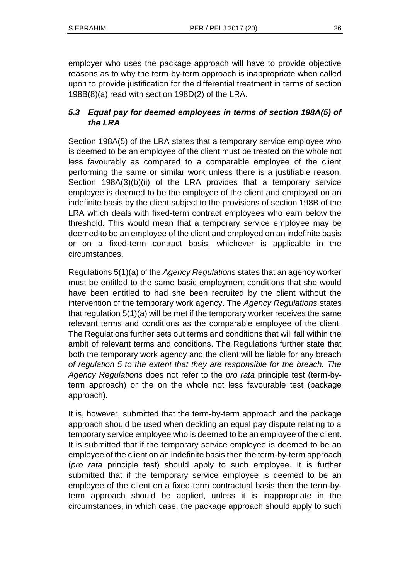employer who uses the package approach will have to provide objective reasons as to why the term-by-term approach is inappropriate when called upon to provide justification for the differential treatment in terms of section 198B(8)(a) read with section 198D(2) of the LRA.

# *5.3 Equal pay for deemed employees in terms of section 198A(5) of the LRA*

Section 198A(5) of the LRA states that a temporary service employee who is deemed to be an employee of the client must be treated on the whole not less favourably as compared to a comparable employee of the client performing the same or similar work unless there is a justifiable reason. Section 198A(3)(b)(ii) of the LRA provides that a temporary service employee is deemed to be the employee of the client and employed on an indefinite basis by the client subject to the provisions of section 198B of the LRA which deals with fixed-term contract employees who earn below the threshold. This would mean that a temporary service employee may be deemed to be an employee of the client and employed on an indefinite basis or on a fixed-term contract basis, whichever is applicable in the circumstances.

Regulations 5(1)(a) of the *Agency Regulations* states that an agency worker must be entitled to the same basic employment conditions that she would have been entitled to had she been recruited by the client without the intervention of the temporary work agency. The *Agency Regulations* states that regulation 5(1)(a) will be met if the temporary worker receives the same relevant terms and conditions as the comparable employee of the client. The Regulations further sets out terms and conditions that will fall within the ambit of relevant terms and conditions. The Regulations further state that both the temporary work agency and the client will be liable for any breach *of regulation 5 to the extent that they are responsible for the breach. The Agency Regulations* does not refer to the *pro rata* principle test (term-byterm approach) or the on the whole not less favourable test (package approach).

It is, however, submitted that the term-by-term approach and the package approach should be used when deciding an equal pay dispute relating to a temporary service employee who is deemed to be an employee of the client. It is submitted that if the temporary service employee is deemed to be an employee of the client on an indefinite basis then the term-by-term approach (*pro rata* principle test) should apply to such employee. It is further submitted that if the temporary service employee is deemed to be an employee of the client on a fixed-term contractual basis then the term-byterm approach should be applied, unless it is inappropriate in the circumstances, in which case, the package approach should apply to such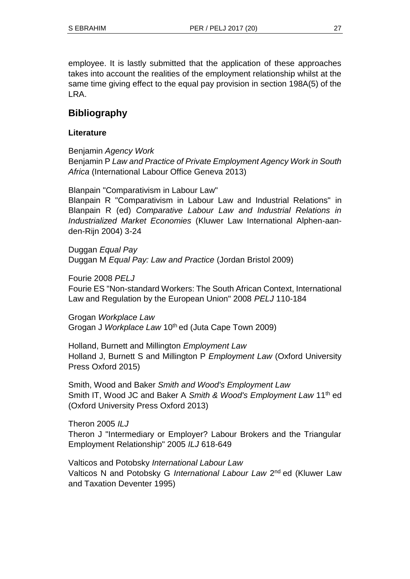employee. It is lastly submitted that the application of these approaches takes into account the realities of the employment relationship whilst at the same time giving effect to the equal pay provision in section 198A(5) of the LRA.

# **Bibliography**

### **Literature**

Benjamin *Agency Work*

Benjamin P *Law and Practice of Private Employment Agency Work in South Africa* (International Labour Office Geneva 2013)

Blanpain "Comparativism in Labour Law"

Blanpain R "Comparativism in Labour Law and Industrial Relations" in Blanpain R (ed) *Comparative Labour Law and Industrial Relations in Industrialized Market Economies* (Kluwer Law International Alphen-aanden-Rijn 2004) 3-24

Duggan *Equal Pay* Duggan M *Equal Pay: Law and Practice* (Jordan Bristol 2009)

Fourie 2008 *PELJ*

Fourie ES "Non-standard Workers: The South African Context, International Law and Regulation by the European Union" 2008 *PELJ* 110-184

Grogan *Workplace Law* Grogan J Workplace Law 10<sup>th</sup> ed (Juta Cape Town 2009)

Holland, Burnett and Millington *Employment Law* Holland J, Burnett S and Millington P *Employment Law* (Oxford University Press Oxford 2015)

Smith, Wood and Baker *Smith and Wood's Employment Law* Smith IT, Wood JC and Baker A *Smith & Wood's Employment Law* 11th ed (Oxford University Press Oxford 2013)

Theron 2005 *ILJ* Theron J "Intermediary or Employer? Labour Brokers and the Triangular Employment Relationship" 2005 *ILJ* 618-649

Valticos and Potobsky *International Labour Law* Valticos N and Potobsky G International Labour Law 2<sup>nd</sup> ed (Kluwer Law and Taxation Deventer 1995)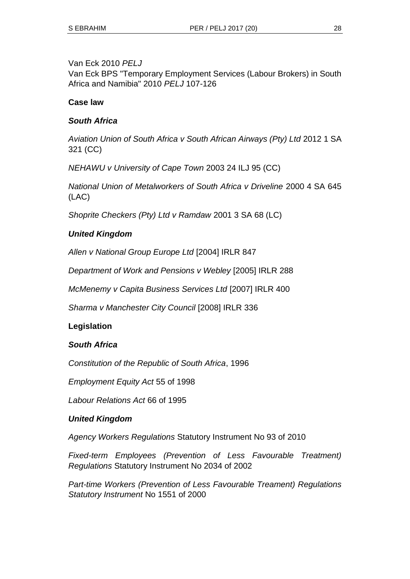### Van Eck 2010 *PELJ*

Van Eck BPS "Temporary Employment Services (Labour Brokers) in South Africa and Namibia" 2010 *PELJ* 107-126

### **Case law**

### *South Africa*

*Aviation Union of South Africa v South African Airways (Pty) Ltd* 2012 1 SA 321 (CC)

*NEHAWU v University of Cape Town* 2003 24 ILJ 95 (CC)

*National Union of Metalworkers of South Africa v Driveline* 2000 4 SA 645 (LAC)

*Shoprite Checkers (Pty) Ltd v Ramdaw* 2001 3 SA 68 (LC)

### *United Kingdom*

*Allen v National Group Europe Ltd* [2004] IRLR 847

*Department of Work and Pensions v Webley* [2005] IRLR 288

*McMenemy v Capita Business Services Ltd* [2007] IRLR 400

*Sharma v Manchester City Council* [2008] IRLR 336

### **Legislation**

### *South Africa*

*Constitution of the Republic of South Africa*, 1996

*Employment Equity Act* 55 of 1998

*Labour Relations Act* 66 of 1995

### *United Kingdom*

*Agency Workers Regulations* Statutory Instrument No 93 of 2010

*Fixed-term Employees (Prevention of Less Favourable Treatment) Regulations* Statutory Instrument No 2034 of 2002

*Part-time Workers (Prevention of Less Favourable Treament) Regulations Statutory Instrument* No 1551 of 2000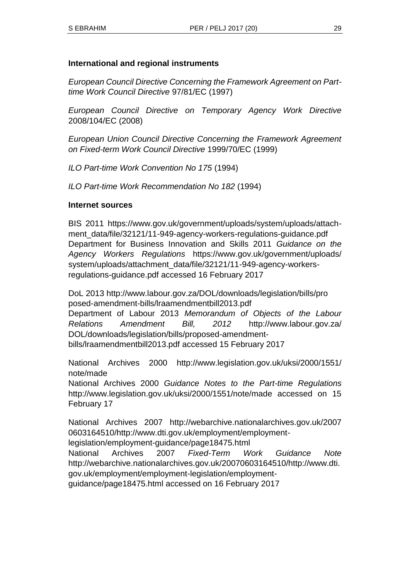### **International and regional instruments**

*European Council Directive Concerning the Framework Agreement on Parttime Work Council Directive* 97/81/EC (1997)

*European Council Directive on Temporary Agency Work Directive* 2008/104/EC (2008)

*European Union Council Directive Concerning the Framework Agreement on Fixed-term Work Council Directive* 1999/70/EC (1999)

*ILO Part-time Work Convention No 175* (1994)

*ILO Part-time Work Recommendation No 182* (1994)

#### **Internet sources**

BIS 2011 https://www.gov.uk/government/uploads/system/uploads/attachment\_data/file/32121/11-949-agency-workers-regulations-guidance.pdf Department for Business Innovation and Skills 2011 *Guidance on the Agency Workers Regulations* https://www.gov.uk/government/uploads/ system/uploads/attachment\_data/file/32121/11-949-agency-workersregulations-guidance.pdf accessed 16 February 2017

DoL 2013 http://www.labour.gov.za/DOL/downloads/legislation/bills/pro posed-amendment-bills/lraamendmentbill2013.pdf Department of Labour 2013 *Memorandum of Objects of the Labour Relations Amendment Bill, 2012* http://www.labour.gov.za/ DOL/downloads/legislation/bills/proposed-amendmentbills/lraamendmentbill2013.pdf accessed 15 February 2017

National Archives 2000 http://www.legislation.gov.uk/uksi/2000/1551/ note/made

National Archives 2000 *Guidance Notes to the Part-time Regulations* http://www.legislation.gov.uk/uksi/2000/1551/note/made accessed on 15 February 17

National Archives 2007 http://webarchive.nationalarchives.gov.uk/2007 0603164510/http://www.dti.gov.uk/employment/employmentlegislation/employment-guidance/page18475.html National Archives 2007 *Fixed-Term Work Guidance Note* http://webarchive.nationalarchives.gov.uk/20070603164510/http://www.dti. gov.uk/employment/employment-legislation/employment-

guidance/page18475.html accessed on 16 February 2017